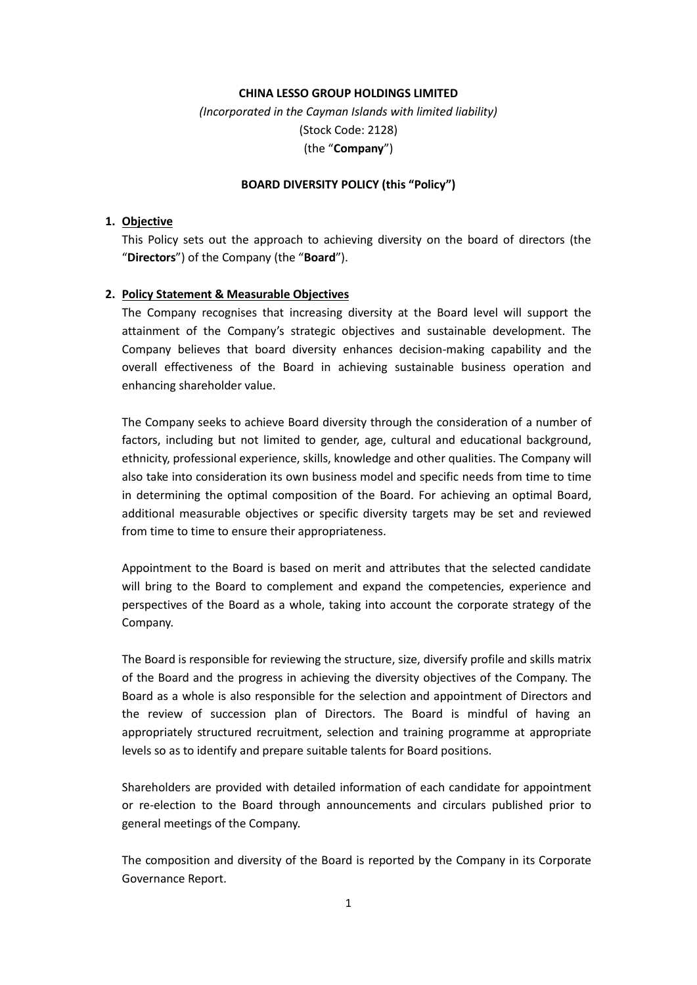## **CHINA LESSO GROUP HOLDINGS LIMITED**

*(Incorporated in the Cayman Islands with limited liability)* (Stock Code: 2128) (the "**Company**")

#### **BOARD DIVERSITY POLICY (this "Policy")**

#### **1. Objective**

This Policy sets out the approach to achieving diversity on the board of directors (the "**Directors**") of the Company (the "**Board**").

## **2. Policy Statement & Measurable Objectives**

The Company recognises that increasing diversity at the Board level will support the attainment of the Company's strategic objectives and sustainable development. The Company believes that board diversity enhances decision-making capability and the overall effectiveness of the Board in achieving sustainable business operation and enhancing shareholder value.

The Company seeks to achieve Board diversity through the consideration of a number of factors, including but not limited to gender, age, cultural and educational background, ethnicity, professional experience, skills, knowledge and other qualities. The Company will also take into consideration its own business model and specific needs from time to time in determining the optimal composition of the Board. For achieving an optimal Board, additional measurable objectives or specific diversity targets may be set and reviewed from time to time to ensure their appropriateness.

Appointment to the Board is based on merit and attributes that the selected candidate will bring to the Board to complement and expand the competencies, experience and perspectives of the Board as a whole, taking into account the corporate strategy of the Company.

The Board is responsible for reviewing the structure, size, diversify profile and skills matrix of the Board and the progress in achieving the diversity objectives of the Company. The Board as a whole is also responsible for the selection and appointment of Directors and the review of succession plan of Directors. The Board is mindful of having an appropriately structured recruitment, selection and training programme at appropriate levels so as to identify and prepare suitable talents for Board positions.

Shareholders are provided with detailed information of each candidate for appointment or re-election to the Board through announcements and circulars published prior to general meetings of the Company.

The composition and diversity of the Board is reported by the Company in its Corporate Governance Report.